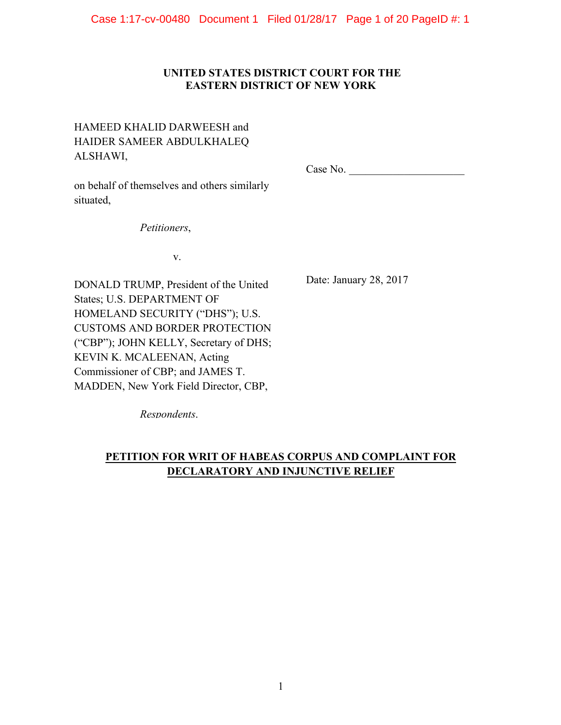## **UNITED STATES DISTRICT COURT FOR THE EASTERN DISTRICT OF NEW YORK**

# HAMEED KHALID DARWEESH and HAIDER SAMEER ABDULKHALEQ ALSHAWI,

Case No.

on behalf of themselves and others similarly situated,

*Petitioners*,

v.

DONALD TRUMP, President of the United States; U.S. DEPARTMENT OF HOMELAND SECURITY ("DHS"); U.S. CUSTOMS AND BORDER PROTECTION ("CBP"); JOHN KELLY, Secretary of DHS; KEVIN K. MCALEENAN, Acting Commissioner of CBP; and JAMES T. MADDEN, New York Field Director, CBP,

Date: January 28, 2017

*Respondents*.

# **PETITION FOR WRIT OF HABEAS CORPUS AND COMPLAINT FOR DECLARATORY AND INJUNCTIVE RELIEF**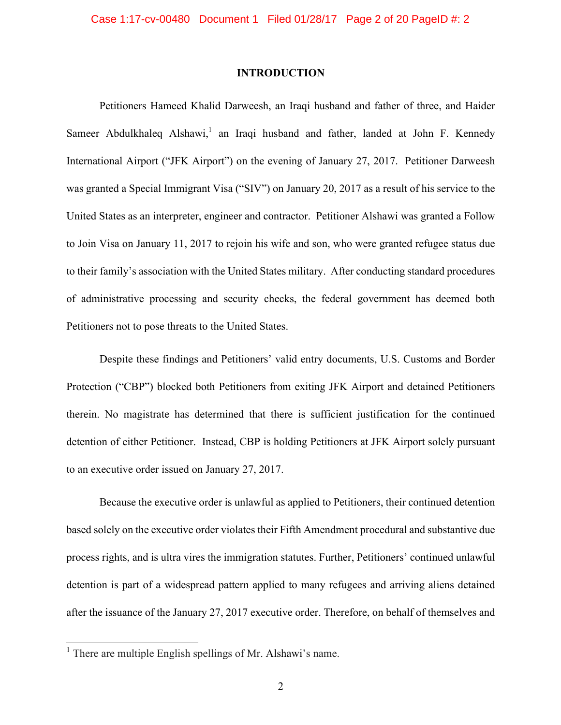### **INTRODUCTION**

Petitioners Hameed Khalid Darweesh, an Iraqi husband and father of three, and Haider Sameer Abdulkhaleq Alshawi,<sup>1</sup> an Iraqi husband and father, landed at John F. Kennedy International Airport ("JFK Airport") on the evening of January 27, 2017. Petitioner Darweesh was granted a Special Immigrant Visa ("SIV") on January 20, 2017 as a result of his service to the United States as an interpreter, engineer and contractor. Petitioner Alshawi was granted a Follow to Join Visa on January 11, 2017 to rejoin his wife and son, who were granted refugee status due to their family's association with the United States military. After conducting standard procedures of administrative processing and security checks, the federal government has deemed both Petitioners not to pose threats to the United States.

Despite these findings and Petitioners' valid entry documents, U.S. Customs and Border Protection ("CBP") blocked both Petitioners from exiting JFK Airport and detained Petitioners therein. No magistrate has determined that there is sufficient justification for the continued detention of either Petitioner. Instead, CBP is holding Petitioners at JFK Airport solely pursuant to an executive order issued on January 27, 2017.

Because the executive order is unlawful as applied to Petitioners, their continued detention based solely on the executive order violates their Fifth Amendment procedural and substantive due process rights, and is ultra vires the immigration statutes. Further, Petitioners' continued unlawful detention is part of a widespread pattern applied to many refugees and arriving aliens detained after the issuance of the January 27, 2017 executive order. Therefore, on behalf of themselves and

<sup>&</sup>lt;sup>1</sup> There are multiple English spellings of Mr. Alshawi's name.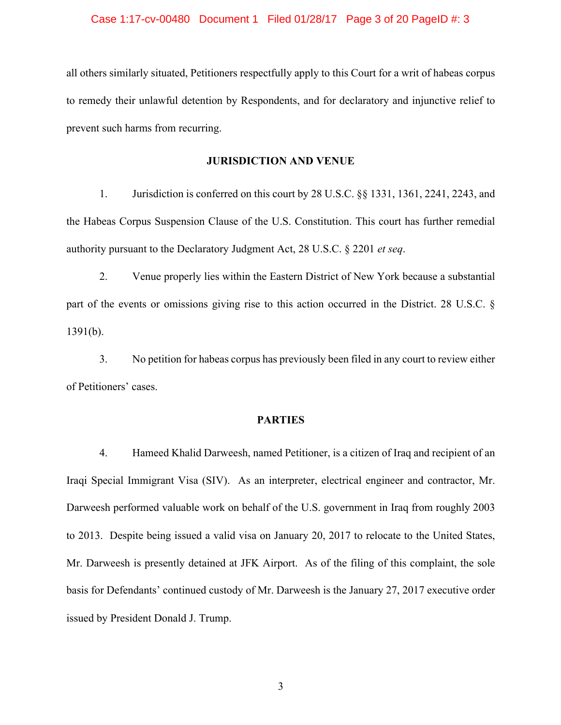#### Case 1:17-cv-00480 Document 1 Filed 01/28/17 Page 3 of 20 PageID #: 3

all others similarly situated, Petitioners respectfully apply to this Court for a writ of habeas corpus to remedy their unlawful detention by Respondents, and for declaratory and injunctive relief to prevent such harms from recurring.

### **JURISDICTION AND VENUE**

1. Jurisdiction is conferred on this court by 28 U.S.C. §§ 1331, 1361, 2241, 2243, and the Habeas Corpus Suspension Clause of the U.S. Constitution. This court has further remedial authority pursuant to the Declaratory Judgment Act, 28 U.S.C. § 2201 *et seq*.

2. Venue properly lies within the Eastern District of New York because a substantial part of the events or omissions giving rise to this action occurred in the District. 28 U.S.C. § 1391(b).

3. No petition for habeas corpus has previously been filed in any court to review either of Petitioners' cases.

### **PARTIES**

4. Hameed Khalid Darweesh, named Petitioner, is a citizen of Iraq and recipient of an Iraqi Special Immigrant Visa (SIV). As an interpreter, electrical engineer and contractor, Mr. Darweesh performed valuable work on behalf of the U.S. government in Iraq from roughly 2003 to 2013. Despite being issued a valid visa on January 20, 2017 to relocate to the United States, Mr. Darweesh is presently detained at JFK Airport. As of the filing of this complaint, the sole basis for Defendants' continued custody of Mr. Darweesh is the January 27, 2017 executive order issued by President Donald J. Trump.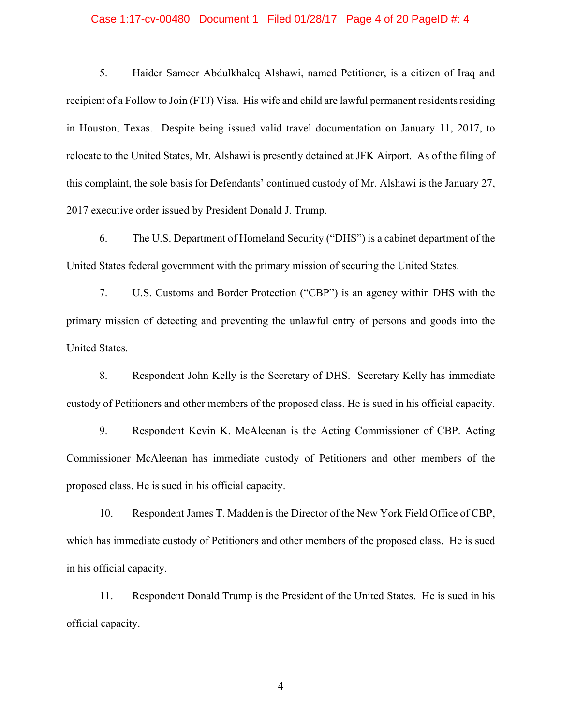#### Case 1:17-cv-00480 Document 1 Filed 01/28/17 Page 4 of 20 PageID #: 4

5. Haider Sameer Abdulkhaleq Alshawi, named Petitioner, is a citizen of Iraq and recipient of a Follow to Join (FTJ) Visa. His wife and child are lawful permanent residents residing in Houston, Texas. Despite being issued valid travel documentation on January 11, 2017, to relocate to the United States, Mr. Alshawi is presently detained at JFK Airport. As of the filing of this complaint, the sole basis for Defendants' continued custody of Mr. Alshawi is the January 27, 2017 executive order issued by President Donald J. Trump.

6. The U.S. Department of Homeland Security ("DHS") is a cabinet department of the United States federal government with the primary mission of securing the United States.

7. U.S. Customs and Border Protection ("CBP") is an agency within DHS with the primary mission of detecting and preventing the unlawful entry of persons and goods into the United States.

8. Respondent John Kelly is the Secretary of DHS. Secretary Kelly has immediate custody of Petitioners and other members of the proposed class. He is sued in his official capacity.

9. Respondent Kevin K. McAleenan is the Acting Commissioner of CBP. Acting Commissioner McAleenan has immediate custody of Petitioners and other members of the proposed class. He is sued in his official capacity.

10. Respondent James T. Madden is the Director of the New York Field Office of CBP, which has immediate custody of Petitioners and other members of the proposed class. He is sued in his official capacity.

11. Respondent Donald Trump is the President of the United States. He is sued in his official capacity.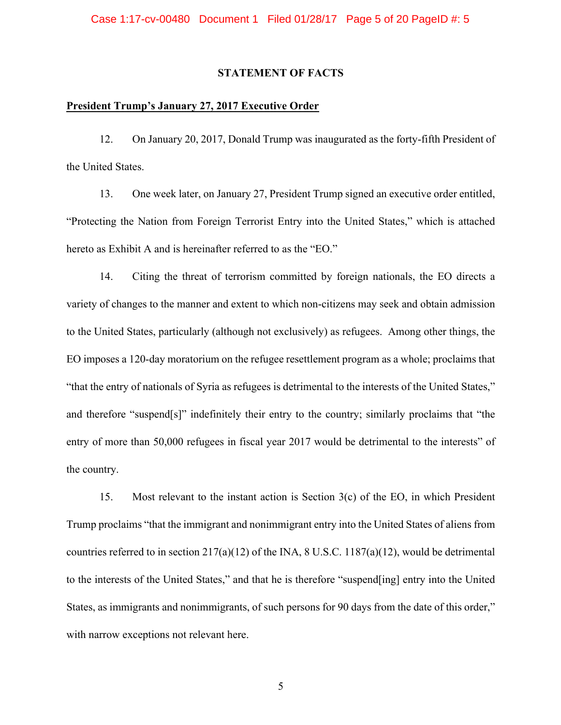### **STATEMENT OF FACTS**

### **President Trump's January 27, 2017 Executive Order**

12. On January 20, 2017, Donald Trump was inaugurated as the forty-fifth President of the United States.

13. One week later, on January 27, President Trump signed an executive order entitled, "Protecting the Nation from Foreign Terrorist Entry into the United States," which is attached hereto as Exhibit A and is hereinafter referred to as the "EO."

14. Citing the threat of terrorism committed by foreign nationals, the EO directs a variety of changes to the manner and extent to which non-citizens may seek and obtain admission to the United States, particularly (although not exclusively) as refugees. Among other things, the EO imposes a 120-day moratorium on the refugee resettlement program as a whole; proclaims that "that the entry of nationals of Syria as refugees is detrimental to the interests of the United States," and therefore "suspend[s]" indefinitely their entry to the country; similarly proclaims that "the entry of more than 50,000 refugees in fiscal year 2017 would be detrimental to the interests" of the country.

15. Most relevant to the instant action is Section 3(c) of the EO, in which President Trump proclaims "that the immigrant and nonimmigrant entry into the United States of aliens from countries referred to in section  $217(a)(12)$  of the INA, 8 U.S.C.  $1187(a)(12)$ , would be detrimental to the interests of the United States," and that he is therefore "suspend[ing] entry into the United States, as immigrants and nonimmigrants, of such persons for 90 days from the date of this order," with narrow exceptions not relevant here.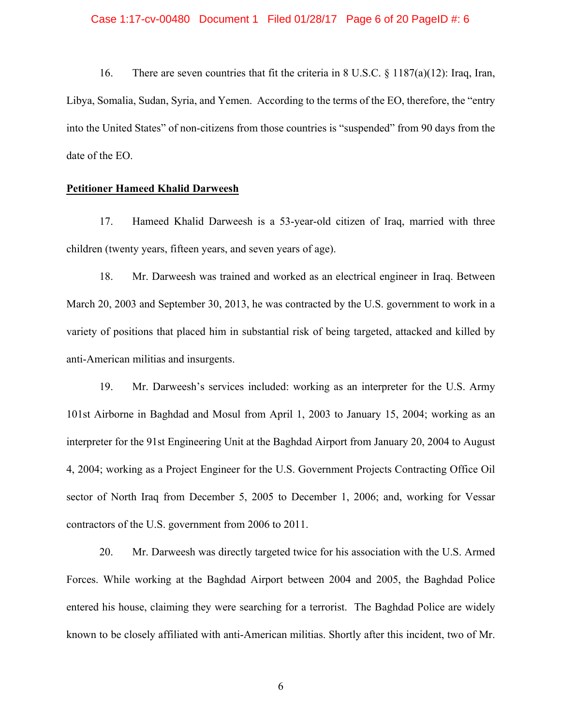#### Case 1:17-cv-00480 Document 1 Filed 01/28/17 Page 6 of 20 PageID #: 6

16. There are seven countries that fit the criteria in 8 U.S.C. § 1187(a)(12): Iraq, Iran, Libya, Somalia, Sudan, Syria, and Yemen. According to the terms of the EO, therefore, the "entry into the United States" of non-citizens from those countries is "suspended" from 90 days from the date of the EO.

### **Petitioner Hameed Khalid Darweesh**

17. Hameed Khalid Darweesh is a 53-year-old citizen of Iraq, married with three children (twenty years, fifteen years, and seven years of age).

18. Mr. Darweesh was trained and worked as an electrical engineer in Iraq. Between March 20, 2003 and September 30, 2013, he was contracted by the U.S. government to work in a variety of positions that placed him in substantial risk of being targeted, attacked and killed by anti-American militias and insurgents.

19. Mr. Darweesh's services included: working as an interpreter for the U.S. Army 101st Airborne in Baghdad and Mosul from April 1, 2003 to January 15, 2004; working as an interpreter for the 91st Engineering Unit at the Baghdad Airport from January 20, 2004 to August 4, 2004; working as a Project Engineer for the U.S. Government Projects Contracting Office Oil sector of North Iraq from December 5, 2005 to December 1, 2006; and, working for Vessar contractors of the U.S. government from 2006 to 2011.

20. Mr. Darweesh was directly targeted twice for his association with the U.S. Armed Forces. While working at the Baghdad Airport between 2004 and 2005, the Baghdad Police entered his house, claiming they were searching for a terrorist. The Baghdad Police are widely known to be closely affiliated with anti-American militias. Shortly after this incident, two of Mr.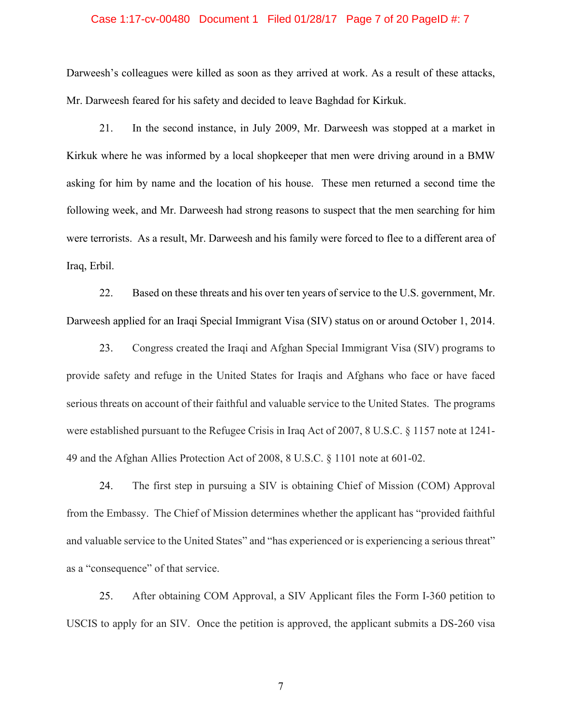### Case 1:17-cv-00480 Document 1 Filed 01/28/17 Page 7 of 20 PageID #: 7

Darweesh's colleagues were killed as soon as they arrived at work. As a result of these attacks, Mr. Darweesh feared for his safety and decided to leave Baghdad for Kirkuk.

21. In the second instance, in July 2009, Mr. Darweesh was stopped at a market in Kirkuk where he was informed by a local shopkeeper that men were driving around in a BMW asking for him by name and the location of his house. These men returned a second time the following week, and Mr. Darweesh had strong reasons to suspect that the men searching for him were terrorists. As a result, Mr. Darweesh and his family were forced to flee to a different area of Iraq, Erbil.

22. Based on these threats and his over ten years of service to the U.S. government, Mr. Darweesh applied for an Iraqi Special Immigrant Visa (SIV) status on or around October 1, 2014.

23. Congress created the Iraqi and Afghan Special Immigrant Visa (SIV) programs to provide safety and refuge in the United States for Iraqis and Afghans who face or have faced serious threats on account of their faithful and valuable service to the United States. The programs were established pursuant to the Refugee Crisis in Iraq Act of 2007, 8 U.S.C. § 1157 note at 1241- 49 and the Afghan Allies Protection Act of 2008, 8 U.S.C. § 1101 note at 601-02.

24. The first step in pursuing a SIV is obtaining Chief of Mission (COM) Approval from the Embassy. The Chief of Mission determines whether the applicant has "provided faithful and valuable service to the United States" and "has experienced or is experiencing a serious threat" as a "consequence" of that service.

25. After obtaining COM Approval, a SIV Applicant files the Form I-360 petition to USCIS to apply for an SIV. Once the petition is approved, the applicant submits a DS-260 visa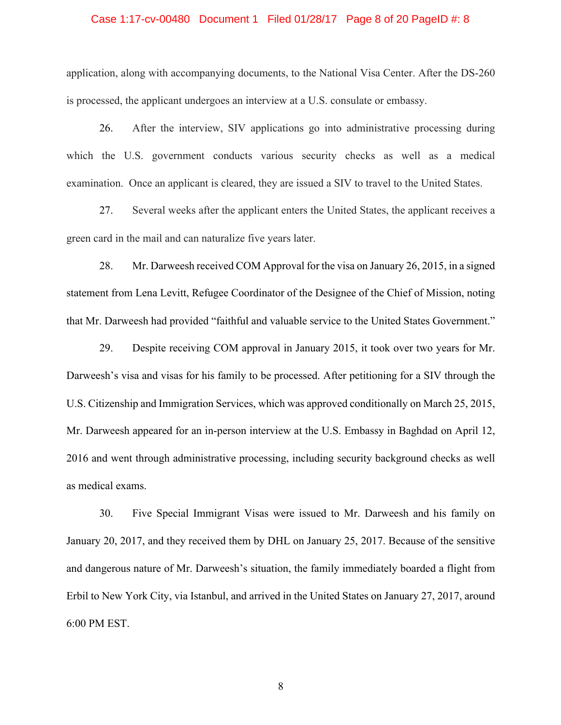#### Case 1:17-cv-00480 Document 1 Filed 01/28/17 Page 8 of 20 PageID #: 8

application, along with accompanying documents, to the National Visa Center. After the DS-260 is processed, the applicant undergoes an interview at a U.S. consulate or embassy.

26. After the interview, SIV applications go into administrative processing during which the U.S. government conducts various security checks as well as a medical examination. Once an applicant is cleared, they are issued a SIV to travel to the United States.

27. Several weeks after the applicant enters the United States, the applicant receives a green card in the mail and can naturalize five years later.

28. Mr. Darweesh received COM Approval for the visa on January 26, 2015, in a signed statement from Lena Levitt, Refugee Coordinator of the Designee of the Chief of Mission, noting that Mr. Darweesh had provided "faithful and valuable service to the United States Government."

29. Despite receiving COM approval in January 2015, it took over two years for Mr. Darweesh's visa and visas for his family to be processed. After petitioning for a SIV through the U.S. Citizenship and Immigration Services, which was approved conditionally on March 25, 2015, Mr. Darweesh appeared for an in-person interview at the U.S. Embassy in Baghdad on April 12, 2016 and went through administrative processing, including security background checks as well as medical exams.

30. Five Special Immigrant Visas were issued to Mr. Darweesh and his family on January 20, 2017, and they received them by DHL on January 25, 2017. Because of the sensitive and dangerous nature of Mr. Darweesh's situation, the family immediately boarded a flight from Erbil to New York City, via Istanbul, and arrived in the United States on January 27, 2017, around 6:00 PM EST.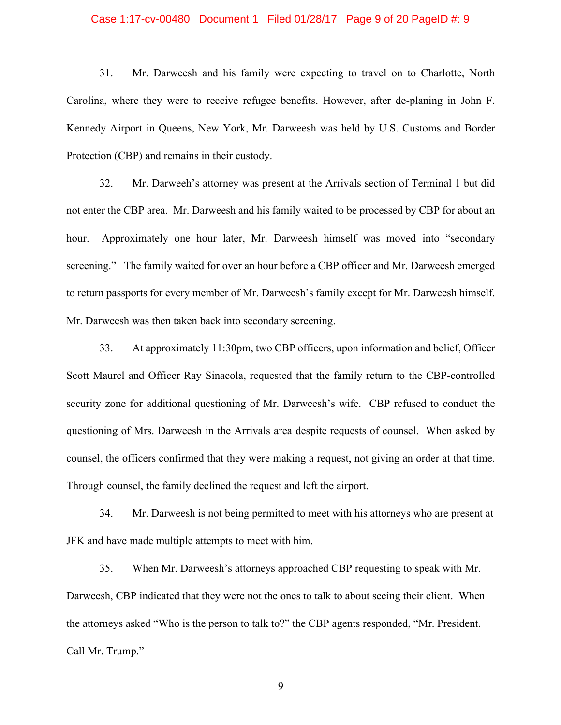#### Case 1:17-cv-00480 Document 1 Filed 01/28/17 Page 9 of 20 PageID #: 9

31. Mr. Darweesh and his family were expecting to travel on to Charlotte, North Carolina, where they were to receive refugee benefits. However, after de-planing in John F. Kennedy Airport in Queens, New York, Mr. Darweesh was held by U.S. Customs and Border Protection (CBP) and remains in their custody.

32. Mr. Darweeh's attorney was present at the Arrivals section of Terminal 1 but did not enter the CBP area. Mr. Darweesh and his family waited to be processed by CBP for about an hour. Approximately one hour later, Mr. Darweesh himself was moved into "secondary screening." The family waited for over an hour before a CBP officer and Mr. Darweesh emerged to return passports for every member of Mr. Darweesh's family except for Mr. Darweesh himself. Mr. Darweesh was then taken back into secondary screening.

33. At approximately 11:30pm, two CBP officers, upon information and belief, Officer Scott Maurel and Officer Ray Sinacola, requested that the family return to the CBP-controlled security zone for additional questioning of Mr. Darweesh's wife. CBP refused to conduct the questioning of Mrs. Darweesh in the Arrivals area despite requests of counsel. When asked by counsel, the officers confirmed that they were making a request, not giving an order at that time. Through counsel, the family declined the request and left the airport.

34. Mr. Darweesh is not being permitted to meet with his attorneys who are present at JFK and have made multiple attempts to meet with him.

35. When Mr. Darweesh's attorneys approached CBP requesting to speak with Mr. Darweesh, CBP indicated that they were not the ones to talk to about seeing their client. When the attorneys asked "Who is the person to talk to?" the CBP agents responded, "Mr. President. Call Mr. Trump."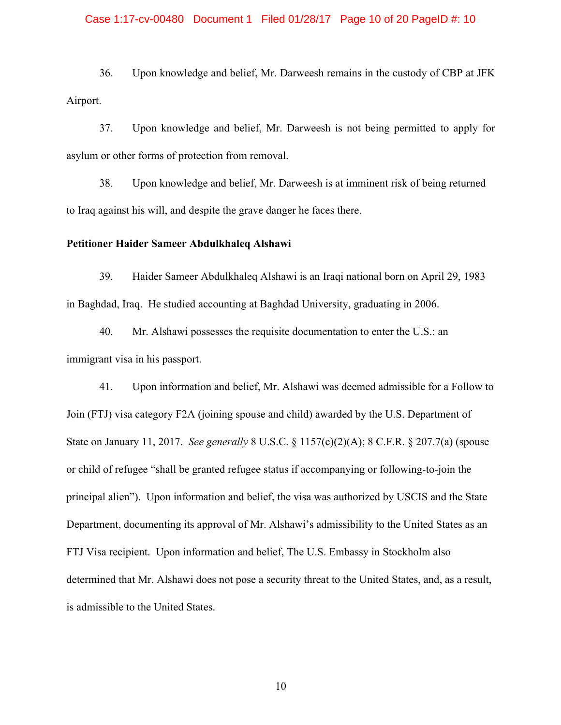### Case 1:17-cv-00480 Document 1 Filed 01/28/17 Page 10 of 20 PageID #: 10

36. Upon knowledge and belief, Mr. Darweesh remains in the custody of CBP at JFK Airport.

37. Upon knowledge and belief, Mr. Darweesh is not being permitted to apply for asylum or other forms of protection from removal.

38. Upon knowledge and belief, Mr. Darweesh is at imminent risk of being returned to Iraq against his will, and despite the grave danger he faces there.

### **Petitioner Haider Sameer Abdulkhaleq Alshawi**

39. Haider Sameer Abdulkhaleq Alshawi is an Iraqi national born on April 29, 1983 in Baghdad, Iraq. He studied accounting at Baghdad University, graduating in 2006.

40. Mr. Alshawi possesses the requisite documentation to enter the U.S.: an immigrant visa in his passport.

41. Upon information and belief, Mr. Alshawi was deemed admissible for a Follow to Join (FTJ) visa category F2A (joining spouse and child) awarded by the U.S. Department of State on January 11, 2017. *See generally* 8 U.S.C. § 1157(c)(2)(A); 8 C.F.R. § 207.7(a) (spouse or child of refugee "shall be granted refugee status if accompanying or following-to-join the principal alien"). Upon information and belief, the visa was authorized by USCIS and the State Department, documenting its approval of Mr. Alshawi's admissibility to the United States as an FTJ Visa recipient. Upon information and belief, The U.S. Embassy in Stockholm also determined that Mr. Alshawi does not pose a security threat to the United States, and, as a result, is admissible to the United States.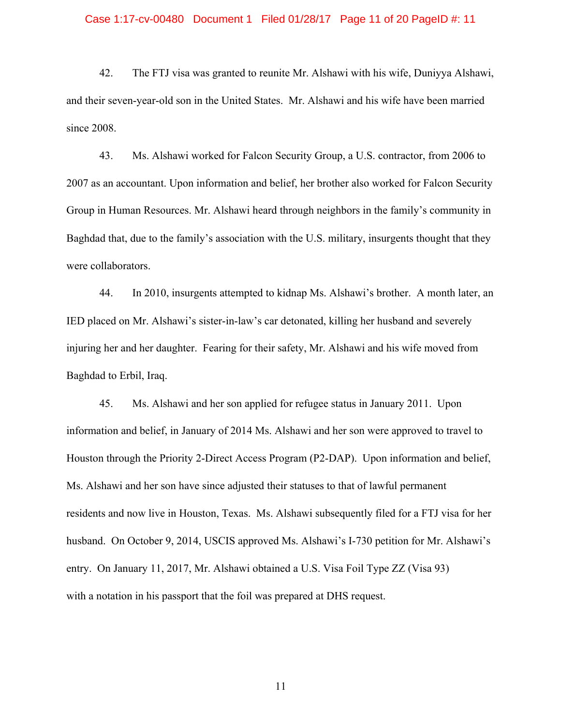### Case 1:17-cv-00480 Document 1 Filed 01/28/17 Page 11 of 20 PageID #: 11

42. The FTJ visa was granted to reunite Mr. Alshawi with his wife, Duniyya Alshawi, and their seven-year-old son in the United States. Mr. Alshawi and his wife have been married since 2008.

43. Ms. Alshawi worked for Falcon Security Group, a U.S. contractor, from 2006 to 2007 as an accountant. Upon information and belief, her brother also worked for Falcon Security Group in Human Resources. Mr. Alshawi heard through neighbors in the family's community in Baghdad that, due to the family's association with the U.S. military, insurgents thought that they were collaborators.

44. In 2010, insurgents attempted to kidnap Ms. Alshawi's brother. A month later, an IED placed on Mr. Alshawi's sister-in-law's car detonated, killing her husband and severely injuring her and her daughter. Fearing for their safety, Mr. Alshawi and his wife moved from Baghdad to Erbil, Iraq.

45. Ms. Alshawi and her son applied for refugee status in January 2011. Upon information and belief, in January of 2014 Ms. Alshawi and her son were approved to travel to Houston through the Priority 2-Direct Access Program (P2-DAP). Upon information and belief, Ms. Alshawi and her son have since adjusted their statuses to that of lawful permanent residents and now live in Houston, Texas. Ms. Alshawi subsequently filed for a FTJ visa for her husband. On October 9, 2014, USCIS approved Ms. Alshawi's I-730 petition for Mr. Alshawi's entry. On January 11, 2017, Mr. Alshawi obtained a U.S. Visa Foil Type ZZ (Visa 93) with a notation in his passport that the foil was prepared at DHS request.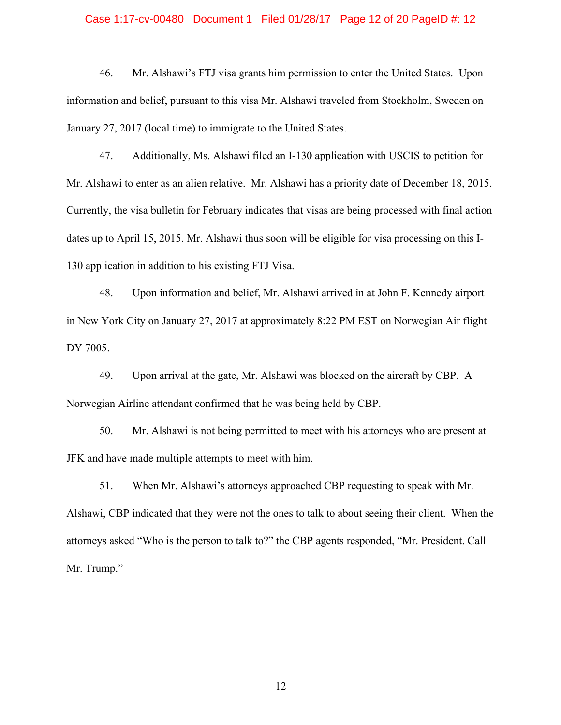### Case 1:17-cv-00480 Document 1 Filed 01/28/17 Page 12 of 20 PageID #: 12

46. Mr. Alshawi's FTJ visa grants him permission to enter the United States. Upon information and belief, pursuant to this visa Mr. Alshawi traveled from Stockholm, Sweden on January 27, 2017 (local time) to immigrate to the United States.

47. Additionally, Ms. Alshawi filed an I-130 application with USCIS to petition for Mr. Alshawi to enter as an alien relative. Mr. Alshawi has a priority date of December 18, 2015. Currently, the visa bulletin for February indicates that visas are being processed with final action dates up to April 15, 2015. Mr. Alshawi thus soon will be eligible for visa processing on this I-130 application in addition to his existing FTJ Visa.

48. Upon information and belief, Mr. Alshawi arrived in at John F. Kennedy airport in New York City on January 27, 2017 at approximately 8:22 PM EST on Norwegian Air flight DY 7005.

49. Upon arrival at the gate, Mr. Alshawi was blocked on the aircraft by CBP. A Norwegian Airline attendant confirmed that he was being held by CBP.

50. Mr. Alshawi is not being permitted to meet with his attorneys who are present at JFK and have made multiple attempts to meet with him.

51. When Mr. Alshawi's attorneys approached CBP requesting to speak with Mr. Alshawi, CBP indicated that they were not the ones to talk to about seeing their client. When the attorneys asked "Who is the person to talk to?" the CBP agents responded, "Mr. President. Call Mr. Trump."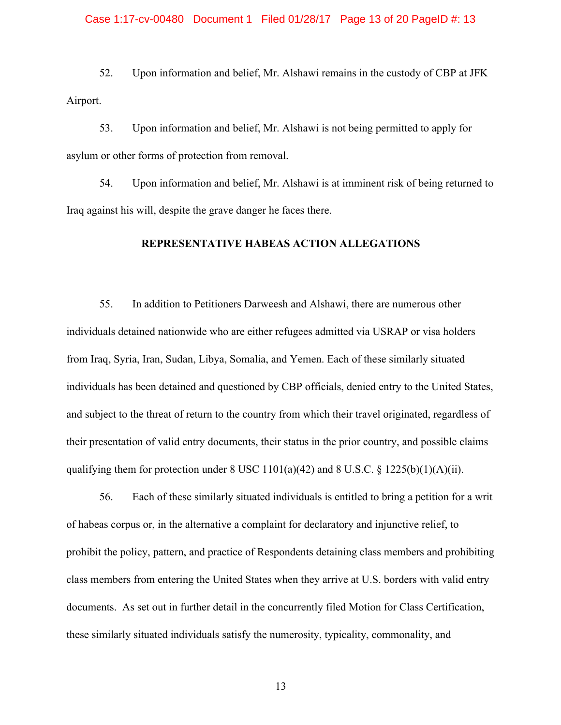## Case 1:17-cv-00480 Document 1 Filed 01/28/17 Page 13 of 20 PageID #: 13

52. Upon information and belief, Mr. Alshawi remains in the custody of CBP at JFK Airport.

53. Upon information and belief, Mr. Alshawi is not being permitted to apply for asylum or other forms of protection from removal.

54. Upon information and belief, Mr. Alshawi is at imminent risk of being returned to Iraq against his will, despite the grave danger he faces there.

### **REPRESENTATIVE HABEAS ACTION ALLEGATIONS**

55. In addition to Petitioners Darweesh and Alshawi, there are numerous other individuals detained nationwide who are either refugees admitted via USRAP or visa holders from Iraq, Syria, Iran, Sudan, Libya, Somalia, and Yemen. Each of these similarly situated individuals has been detained and questioned by CBP officials, denied entry to the United States, and subject to the threat of return to the country from which their travel originated, regardless of their presentation of valid entry documents, their status in the prior country, and possible claims qualifying them for protection under  $8 \text{ USC } 1101(a)(42)$  and  $8 \text{ U.S.C. } 8 \text{ 1225(b)(1)(A)(ii)}$ .

56. Each of these similarly situated individuals is entitled to bring a petition for a writ of habeas corpus or, in the alternative a complaint for declaratory and injunctive relief, to prohibit the policy, pattern, and practice of Respondents detaining class members and prohibiting class members from entering the United States when they arrive at U.S. borders with valid entry documents. As set out in further detail in the concurrently filed Motion for Class Certification, these similarly situated individuals satisfy the numerosity, typicality, commonality, and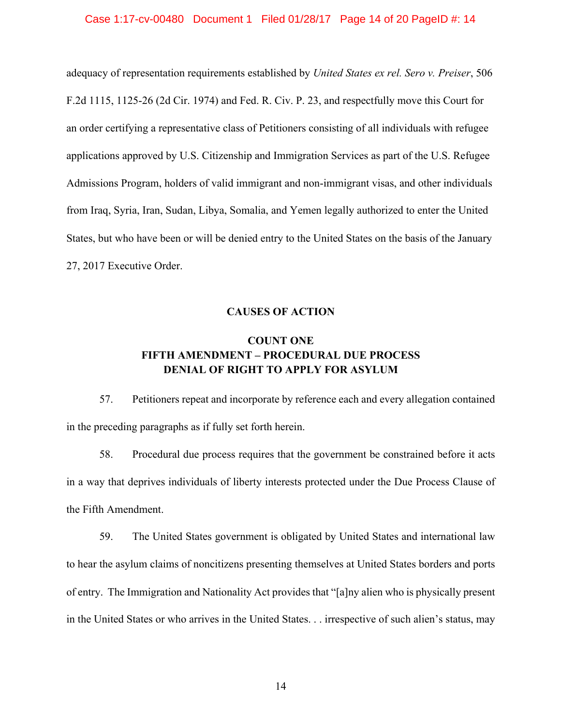#### Case 1:17-cv-00480 Document 1 Filed 01/28/17 Page 14 of 20 PageID #: 14

adequacy of representation requirements established by *United States ex rel. Sero v. Preiser*, 506 F.2d 1115, 1125-26 (2d Cir. 1974) and Fed. R. Civ. P. 23, and respectfully move this Court for an order certifying a representative class of Petitioners consisting of all individuals with refugee applications approved by U.S. Citizenship and Immigration Services as part of the U.S. Refugee Admissions Program, holders of valid immigrant and non-immigrant visas, and other individuals from Iraq, Syria, Iran, Sudan, Libya, Somalia, and Yemen legally authorized to enter the United States, but who have been or will be denied entry to the United States on the basis of the January 27, 2017 Executive Order.

## **CAUSES OF ACTION**

# **COUNT ONE FIFTH AMENDMENT – PROCEDURAL DUE PROCESS DENIAL OF RIGHT TO APPLY FOR ASYLUM**

57. Petitioners repeat and incorporate by reference each and every allegation contained in the preceding paragraphs as if fully set forth herein.

58. Procedural due process requires that the government be constrained before it acts in a way that deprives individuals of liberty interests protected under the Due Process Clause of the Fifth Amendment.

59. The United States government is obligated by United States and international law to hear the asylum claims of noncitizens presenting themselves at United States borders and ports of entry. The Immigration and Nationality Act provides that "[a]ny alien who is physically present in the United States or who arrives in the United States. . . irrespective of such alien's status, may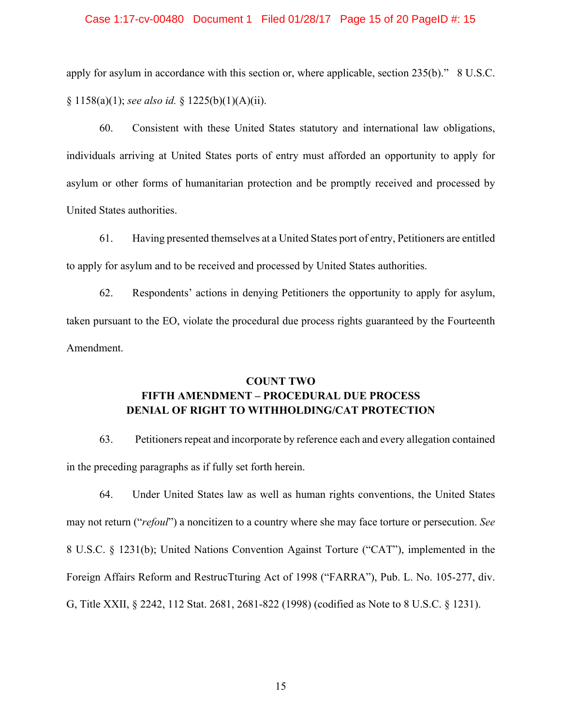#### Case 1:17-cv-00480 Document 1 Filed 01/28/17 Page 15 of 20 PageID #: 15

apply for asylum in accordance with this section or, where applicable, section 235(b)." 8 U.S.C. § 1158(a)(1); *see also id.* § 1225(b)(1)(A)(ii).

60. Consistent with these United States statutory and international law obligations, individuals arriving at United States ports of entry must afforded an opportunity to apply for asylum or other forms of humanitarian protection and be promptly received and processed by United States authorities.

61. Having presented themselves at a United States port of entry, Petitioners are entitled to apply for asylum and to be received and processed by United States authorities.

62. Respondents' actions in denying Petitioners the opportunity to apply for asylum, taken pursuant to the EO, violate the procedural due process rights guaranteed by the Fourteenth Amendment.

# **COUNT TWO FIFTH AMENDMENT – PROCEDURAL DUE PROCESS DENIAL OF RIGHT TO WITHHOLDING/CAT PROTECTION**

63. Petitioners repeat and incorporate by reference each and every allegation contained in the preceding paragraphs as if fully set forth herein.

64. Under United States law as well as human rights conventions, the United States may not return ("*refoul*") a noncitizen to a country where she may face torture or persecution. *See* 8 U.S.C. § 1231(b); United Nations Convention Against Torture ("CAT"), implemented in the Foreign Affairs Reform and RestrucTturing Act of 1998 ("FARRA"), Pub. L. No. 105-277, div. G, Title XXII, § 2242, 112 Stat. 2681, 2681-822 (1998) (codified as Note to 8 U.S.C. § 1231).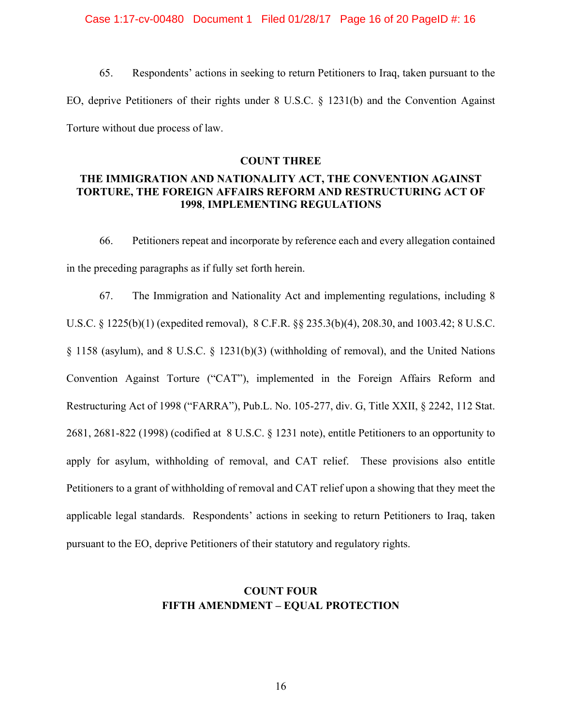Case 1:17-cv-00480 Document 1 Filed 01/28/17 Page 16 of 20 PageID #: 16

65. Respondents' actions in seeking to return Petitioners to Iraq, taken pursuant to the EO, deprive Petitioners of their rights under 8 U.S.C. § 1231(b) and the Convention Against Torture without due process of law.

### **COUNT THREE**

## **THE IMMIGRATION AND NATIONALITY ACT, THE CONVENTION AGAINST TORTURE, THE FOREIGN AFFAIRS REFORM AND RESTRUCTURING ACT OF 1998**, **IMPLEMENTING REGULATIONS**

66. Petitioners repeat and incorporate by reference each and every allegation contained in the preceding paragraphs as if fully set forth herein.

67. The Immigration and Nationality Act and implementing regulations, including 8 U.S.C. § 1225(b)(1) (expedited removal), 8 C.F.R. §§ 235.3(b)(4), 208.30, and 1003.42; 8 U.S.C. § 1158 (asylum), and 8 U.S.C. § 1231(b)(3) (withholding of removal), and the United Nations Convention Against Torture ("CAT"), implemented in the Foreign Affairs Reform and Restructuring Act of 1998 ("FARRA"), Pub.L. No. 105-277, div. G, Title XXII, § 2242, 112 Stat. 2681, 2681-822 (1998) (codified at 8 U.S.C. § 1231 note), entitle Petitioners to an opportunity to apply for asylum, withholding of removal, and CAT relief. These provisions also entitle Petitioners to a grant of withholding of removal and CAT relief upon a showing that they meet the applicable legal standards. Respondents' actions in seeking to return Petitioners to Iraq, taken pursuant to the EO, deprive Petitioners of their statutory and regulatory rights.

# **COUNT FOUR FIFTH AMENDMENT – EQUAL PROTECTION**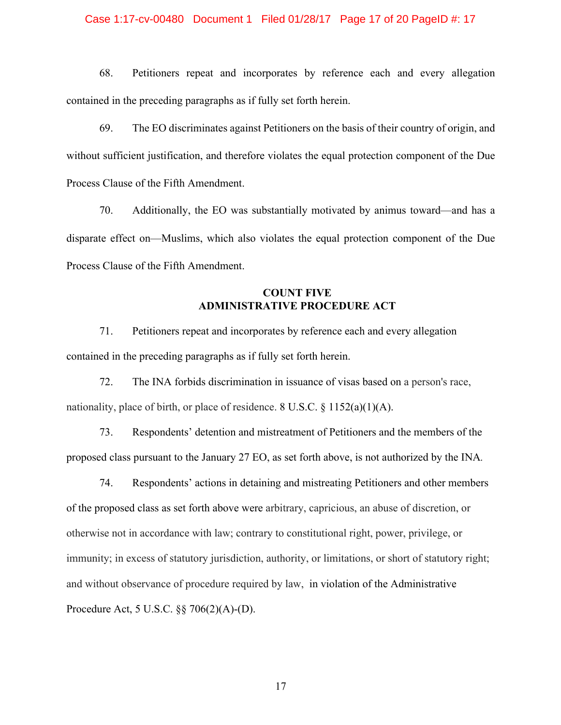## Case 1:17-cv-00480 Document 1 Filed 01/28/17 Page 17 of 20 PageID #: 17

68. Petitioners repeat and incorporates by reference each and every allegation contained in the preceding paragraphs as if fully set forth herein.

69. The EO discriminates against Petitioners on the basis of their country of origin, and without sufficient justification, and therefore violates the equal protection component of the Due Process Clause of the Fifth Amendment.

70. Additionally, the EO was substantially motivated by animus toward—and has a disparate effect on—Muslims, which also violates the equal protection component of the Due Process Clause of the Fifth Amendment.

# **COUNT FIVE ADMINISTRATIVE PROCEDURE ACT**

71. Petitioners repeat and incorporates by reference each and every allegation contained in the preceding paragraphs as if fully set forth herein.

72. The INA forbids discrimination in issuance of visas based on a person's race, nationality, place of birth, or place of residence. 8 U.S.C. § 1152(a)(1)(A).

73. Respondents' detention and mistreatment of Petitioners and the members of the proposed class pursuant to the January 27 EO, as set forth above, is not authorized by the INA*.*

74. Respondents' actions in detaining and mistreating Petitioners and other members of the proposed class as set forth above were arbitrary, capricious, an abuse of discretion, or otherwise not in accordance with law; contrary to constitutional right, power, privilege, or immunity; in excess of statutory jurisdiction, authority, or limitations, or short of statutory right; and without observance of procedure required by law, in violation of the Administrative Procedure Act, 5 U.S.C. §§ 706(2)(A)-(D).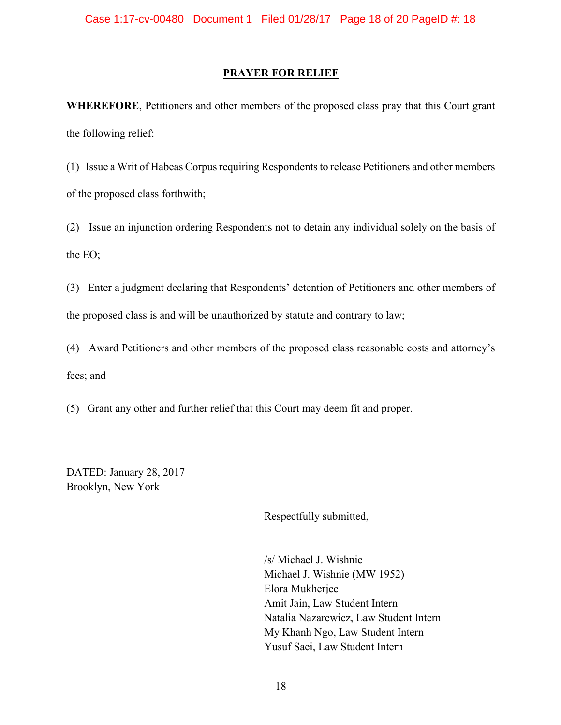### **PRAYER FOR RELIEF**

**WHEREFORE**, Petitioners and other members of the proposed class pray that this Court grant the following relief:

(1) Issue a Writ of Habeas Corpus requiring Respondents to release Petitioners and other members of the proposed class forthwith;

(2) Issue an injunction ordering Respondents not to detain any individual solely on the basis of the EO;

(3) Enter a judgment declaring that Respondents' detention of Petitioners and other members of the proposed class is and will be unauthorized by statute and contrary to law;

(4) Award Petitioners and other members of the proposed class reasonable costs and attorney's fees; and

(5) Grant any other and further relief that this Court may deem fit and proper.

DATED: January 28, 2017 Brooklyn, New York

Respectfully submitted,

/s/ Michael J. Wishnie Michael J. Wishnie (MW 1952) Elora Mukherjee Amit Jain, Law Student Intern Natalia Nazarewicz, Law Student Intern My Khanh Ngo, Law Student Intern Yusuf Saei, Law Student Intern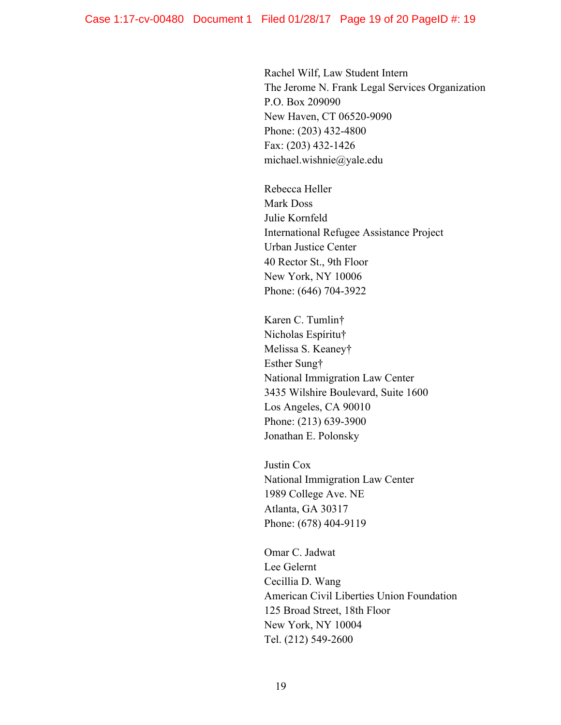Rachel Wilf, Law Student Intern The Jerome N. Frank Legal Services Organization P.O. Box 209090 New Haven, CT 06520-9090 Phone: (203) 432-4800 Fax: (203) 432-1426 michael.wishnie@yale.edu

Rebecca Heller Mark Doss Julie Kornfeld International Refugee Assistance Project Urban Justice Center 40 Rector St., 9th Floor New York, NY 10006 Phone: (646) 704-3922

Karen C. Tumlin† Nicholas Espíritu† Melissa S. Keaney† Esther Sung† National Immigration Law Center 3435 Wilshire Boulevard, Suite 1600 Los Angeles, CA 90010 Phone: (213) 639-3900 Jonathan E. Polonsky

Justin Cox National Immigration Law Center 1989 College Ave. NE Atlanta, GA 30317 Phone: (678) 404-9119

Omar C. Jadwat Lee Gelernt Cecillia D. Wang American Civil Liberties Union Foundation 125 Broad Street, 18th Floor New York, NY 10004 Tel. (212) 549-2600